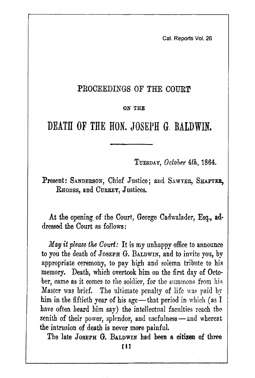Cal. Reports Vol. 26

## PROCEEDINGS OF THE COURT

## ON THE

# DEATH OF THE HON. JOSEPH G. BALDWIN.

TUESDAY, October 4th, 1864.

Present: SANDERSON, Chief Justice; and SAWYER, SHAFTER, RHODES, and CURREY, Justices.

At the opening of the Court, George Cadwalader, Esq., addressed the Court as follows:

May it please the Court: It is my unhappy office to announce to you the death of JOSEPH G. BALDWIN, and to invite you, by appropriate ceremony, to pay high and solemn tribute to his memory. Death, which overtook him on the first day of October, came as it comes to the soldier, for the summons from his Master was brief. The ultimate penalty of life was paid by him in the fiftieth year of his age—that period in which (as  $I$ have often heard him say) the intellectual faculties reach the zenith of their power, splendor, and usefulness -- and whereat the intrusion of death is never more painful.

The late JOSEPH G. BALDWIN had been a citizen of three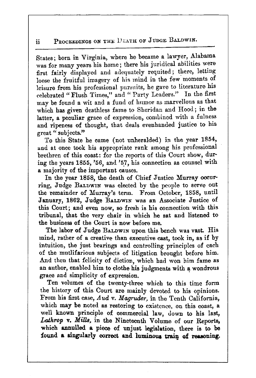#### PROCEEDINGS ON THE UEATH OF JUDGE BALDWIN. ii.

States; born in Virginia, where he became a lawyer, Alabama was for many years his home; there his juridical abilities were first fairly displayed and adequately requited; there, letting loose the fruitful imagery of his mind in the few moments of leisure from his professional pursuits, he gave to literature his celebrated "Flush Times," and "Party Leaders." In the first may be found a wit and a fund of humor as marvellous as that which has given deathless fame to Sheridan and Hood; in the latter, a peculiar grace of expression, combined with a fulness and ripeness of thought, that deals evenhanded justice to his great "subjects"

To this State he came (not unheralded) in the year 1854, and at once took his appropriate rank among his professional brethren of this coast: for the reports of this Court show, during the years 1855, '56, and '57, his connection as counsel with a majority of the important causes.

In the year 1858, the death of Chief Justice Murray occurring. Judge BALDWIN was elected by the neople to serve out the remainder of Murray's term. From October, 1858, until January, 1862, Judge BALDWIN was an Associate Justice of this Court; and even now, so fresh is his connection with this tribunal, that the very chair in which he sat and listened to the business of the Court is now before me.

The labor of Judge BALDWIN upon this bench was vast. His mind, rather of a creative than executive cast, took in, as if by intuition, the just bearings and controlling principles of each of the mutlifarious subjects of litigation brought before him. And then that felicity of diction, which had won him fame as an author, enabled him to clothe his judgments with a wondrous grace and simplicity of expression.

Ten volumes of the twenty-three which to this time form the history of this Court are mainly devoted to his opinions. From his first case, Aud v. Magruder, in the Tenth California, which may be noted as restoring to existence, on this coast, a well known principle of commercial law, down to his last, Lathrop v. Mills, in the Nineteenth Volume of our Reports, which annulled a piece of unjust legislation, there is to be found a singularly correct and luminous train of reasoning.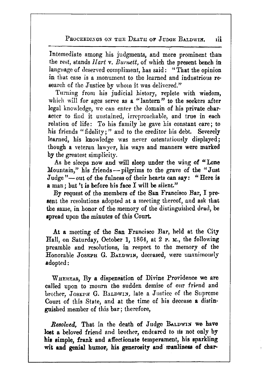PROCEEDINGS ON THE DEATH OF JHDGE BALDWIN. пi

Intemediate among his judgments, and more prominent than the rest, stands Hart v. Burnett, of which the present bench in language of deserved compliment, has said: "That the opinion in that case is a monument to the learned and industrious research of the Justice by whom it was delivered."

Turning from his judicial history, replete with wisdom, which will for ages serve as a "lantern" to the seekers after legal knowledge, we can enter the domain of his private character to find it unstained, irreproachable, and true in each relation of life: To his family he gave his constant care; to his friends "fidelity;" and to the creditor his debt. Severely learned, his knowledge was never ostentatiously displayed; though a veteran lawyer, his ways and manners were marked by the greatest simplicity.

As he sleeps now and will sleep under the wing of "Lone Mountain," his friends - pilgrims to the grave of the "Just Judge"-out of the fulness of their hearts can say: "Here is a man; but 't is before his face I will be silent."

By request of the members of the San Francisco Bar, I present the resolutions adopted at a meeting thereof, and ask that the same, in honor of the memory of the distinguished dead, be spread upon the minutes of this Court.

At a meeting of the San Francisco Bar, held at the City Hall, on Saturday, October 1, 1864, at 2 P. M., the following preamble and resolutions, in respect to the memory of the Honorable JOSEPH G. BALDWIN, deceased, were unanimously adopted:

WHEREAS, By a dispensation of Divine Providence we are called upon to mourn the sudden demise of our friend and brother, JOSEPH G. BALDWIN, late a Justice of the Supreme Court of this State, and at the time of his decease a distinguished member of this bar; therefore,

Resolved, That in the death of Judge BALDWIN we have lost a beloved friend and brother, endeared to us not only by his simple, frank and affectionate temperament, his sparkling wit and genial humor, his generosity and manliness of char-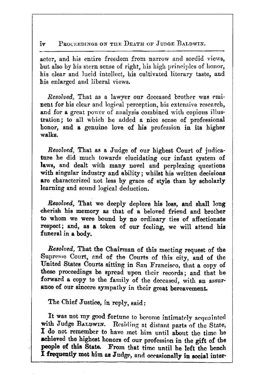#### PROCEEDINGS ON THE DEATH OF JUDGE BALDWIN. iv

acter, and his entire freedom from narrow and sordid views, but also by his stern sense of right, his high principles of honor, his clear and lucid intellect, his cultivated literary taste, and his enlarged and liberal views.

Resolved. That as a lawyer our deceased brother was eminent for his clear and logical perception, his extensive research, and for a great power of analysis combined with copious illustration; to all which he added a nice sense of professional honor, and a genuine love of his profession in its higher walka

*Resolved*, That as a Judge of our highest Court of judicature he did much towards elucidating our infant system of laws, and dealt with many novel and perplexing questions with singular industry and ability; whilst his written decisions are characterized not less by grace of style than by scholarly learning and sound logical deduction.

Resolved, That we deeply deplore his loss, and shall long cherish his memory as that of a beloved friend and brother to whom we were bound by no ordinary ties of affectionate respect; and, as a token of our feeling, we will attend his funeral in a body.

Resolved, That the Chairman of this meeting request of the Supreme Court, and of the Courts of this city, and of the United States Courts sitting in San Francisco, that a copy of these proceedings be spread upon their records; and that he forward a copy to the family of the deccased, with an assurance of our sincere sympathy in their great bereavement.

The Chief Justice, in reply, said:

It was not my good fortune to become intimately acquainted with Judge BALDWIN. Residing at distant parts of the State, I do not remember to have met him until about the time he achieved the highest honors of our profession in the gift of the people of this State. From that time until he left the bench I frequently met him as Judge, and occasionally in social inter-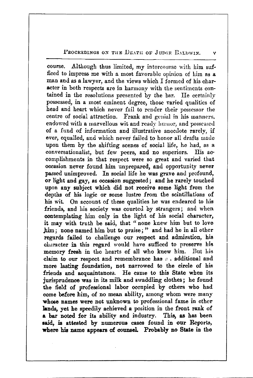### PROCEEDINGS ON THE DEATH OF JUDGE BALDWIN.

course. Although thus limited, my intercourse with him sufficed to impress me with a most favorable opinion of him as a man and as a lawyer, and the views which I formed of his character in both respects are in harmony with the sentiments contained in the resolutions presented by the bar. He certainly possessed, in a most eminent degree, those varied qualitics of head and heart which never fail to render their possessor the centre of social attraction. Frank and genial in his manners, endowed with a marvellous wit and ready humor, and possessed of a fund of information and illustrative anecdote rarely, if ever, equalled, and which never failed to honor all drafts made upon them by the shifting scenes of social life, he had, as a conversationalist, but few peers, and no superiors. His accomplishments in that respect were so great and varied that occasion never found him unprepared, and opportunity never passed unimproved. In social life he was grave and profound, or light and gay, as occasion suggested; and he rarely touched upon any subject which did not receive some light from the depths of his logic or some lustre from the scintillations of his wit. On account of these qualities he was endeared to his friends, and his society was courted by strangers; and when contemplating him only in the light of his social character, it may with truth be said, that " none knew him but to love him; none named him but to praise;" and had he in all other regards failed to challenge our respect and admiration, his character in this regard would have sufficed to preserve his memory fresh in the hearts of all who knew him. But his claim to our respect and remembrance has a additional and more lasting foundation, not narrowed to the circle of his friends and acquaintances. He came to this State when its jurisprudence was in its milk and swaddling clothes; he found the field of professional labor occupied by others who had come before him, of no mean ability, among whom were many whose names were not unknown to professional fame in other lands, yet he speedily achieved a position in the front rank of a bar noted for its ability and industry. This, as has been said, is attested by numerous cases found in our Reports, where his name appears of counsel. Probably no State in the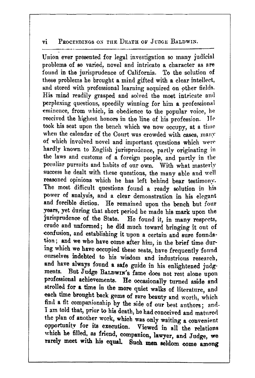#### $\overline{\mathbf{v}}$ i PROCEEDINGS ON THE DEATH OF JUDGE BALDWIN.

Union ever presented for legal investigation so many judicial problems of so varied, novel and intricate a character as are found in the jurisprudence of California. To the solution of these problems he brought a mind gifted with a clear intellect, and stored with professional learning acquired on other fields. His mind readily grasped and solved the most intricate and perplexing questions, speedily winning for him a professional eminence, from which, in obedience to the popular voice, he received the highest honors in the line of his profession. He took his seat upon the bench which we now occupy, at a time when the calendar of the Court was crowded with cases, many of which involved novel and important questions which were hardly known to English jurisprudence, partly originating in the laws and customs of a foreign people, and partly in the peculiar pursuits and habits of our own. With what masterly success he dealt with these questions, the many able and well reasoned opinions which he has left behind bear testimony. The most difficult questions found a ready solution in his power of analysis, and a clear demonstration in his elegant and forcible diction. He remained upon the bench but four years, yet during that short period he made his mark upon the jurisprudence of the State. He found it, in many respects, crude and unformed; he did much toward bringing it out of confusion, and establishing it upon a certain and sure foundation; and we who have come after him, in the brief time during which we have occupied these seats, have frequently found ourselves indebted to his wisdom and industrious research, and have always found a safe guide in his enlightened judgments. But Judge BALDWIN's fame does not rest alone upon professional achievements. He occasionally turned aside and strolled for a time in the more quiet walks of literature, and each time brought back gems of rare beauty and worth, which find a fit companionship by the side of our best authors; and-I am told that, prior to his death, he had conceived and matured the plan of another work, which was only waiting a convenient opportunity for its execution. Viewed in all the relations which he filled, as friend, companion, lawyer, and Judge, we rarely meet with his equal. Such men seldom come among